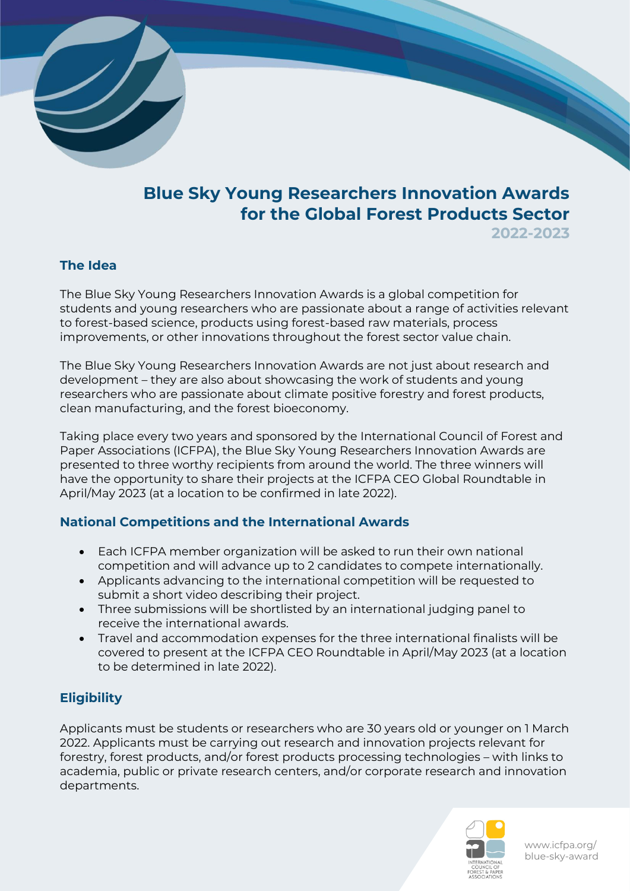

# **Blue Sky Young Researchers Innovation Awards for the Global Forest Products Sector**

**2022-2023**

#### **The Idea**

The Blue Sky Young Researchers Innovation Awards is a global competition for students and young researchers who are passionate about a range of activities relevant to forest-based science, products using forest-based raw materials, process improvements, or other innovations throughout the forest sector value chain.

The Blue Sky Young Researchers Innovation Awards are not just about research and development – they are also about showcasing the work of students and young researchers who are passionate about climate positive forestry and forest products, clean manufacturing, and the forest bioeconomy.

Taking place every two years and sponsored by the International Council of Forest and Paper Associations (ICFPA), the Blue Sky Young Researchers Innovation Awards are presented to three worthy recipients from around the world. The three winners will have the opportunity to share their projects at the ICFPA CEO Global Roundtable in April/May 2023 (at a location to be confirmed in late 2022).

#### **National Competitions and the International Awards**

- Each ICFPA member organization will be asked to run their own national competition and will advance up to 2 candidates to compete internationally.
- Applicants advancing to the international competition will be requested to submit a short video describing their project.
- Three submissions will be shortlisted by an international judging panel to receive the international awards.
- Travel and accommodation expenses for the three international finalists will be covered to present at the ICFPA CEO Roundtable in April/May 2023 (at a location to be determined in late 2022).

### **Eligibility**

Applicants must be students or researchers who are 30 years old or younger on 1 March 2022. Applicants must be carrying out research and innovation projects relevant for forestry, forest products, and/or forest products processing technologies – with links to academia, public or private research centers, and/or corporate research and innovation departments.



www.icfpa.org/ blue-sky-award